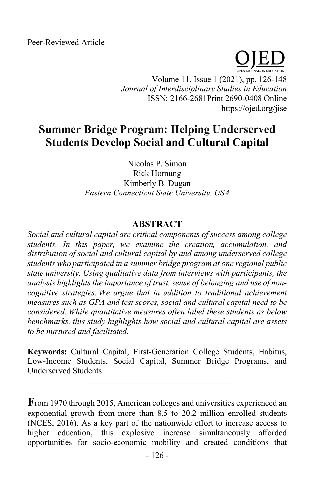

Volume 11, Issue 1 (2021), pp. 126-148 *Journal of Interdisciplinary Studies in Education* ISSN: 2166-2681Print 2690-0408 Online https://ojed.org/jise

# **Summer Bridge Program: Helping Underserved Students Develop Social and Cultural Capital**

Nicolas P. Simon Rick Hornung Kimberly B. Dugan *Eastern Connecticut State University, USA*

# **ABSTRACT**

*Social and cultural capital are critical components of success among college students. In this paper, we examine the creation, accumulation, and distribution of social and cultural capital by and among underserved college students who participated in a summer bridge program at one regional public state university. Using qualitative data from interviews with participants, the analysis highlights the importance of trust, sense of belonging and use of noncognitive strategies. We argue that in addition to traditional achievement measures such as GPA and test scores, social and cultural capital need to be considered. While quantitative measures often label these students as below benchmarks, this study highlights how social and cultural capital are assets to be nurtured and facilitated.*

**Keywords:** Cultural Capital, First-Generation College Students, Habitus, Low-Income Students, Social Capital, Summer Bridge Programs, and Underserved Students

**F**rom 1970 through 2015, American colleges and universities experienced an exponential growth from more than 8.5 to 20.2 million enrolled students (NCES, 2016). As a key part of the nationwide effort to increase access to higher education, this explosive increase simultaneously afforded opportunities for socio-economic mobility and created conditions that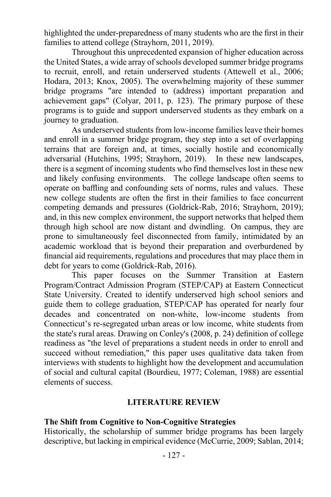highlighted the under-preparedness of many students who are the first in their families to attend college (Strayhorn, 2011, 2019).

Throughout this unprecedented expansion of higher education across the United States, a wide array of schools developed summer bridge programs to recruit, enroll, and retain underserved students (Attewell et al., 2006; Hodara, 2013; Knox, 2005). The overwhelming majority of these summer bridge programs "are intended to (address) important preparation and achievement gaps" (Colyar, 2011, p. 123). The primary purpose of these programs is to guide and support underserved students as they embark on a journey to graduation.

As underserved students from low-income families leave their homes and enroll in a summer bridge program, they step into a set of overlapping terrains that are foreign and, at times, socially hostile and economically adversarial (Hutchins, 1995; Strayhorn, 2019). In these new landscapes, there is a segment of incoming students who find themselves lost in these new and likely confusing environments. The college landscape often seems to operate on baffling and confounding sets of norms, rules and values. These new college students are often the first in their families to face concurrent competing demands and pressures (Goldrick-Rab, 2016; Strayhorn, 2019); and, in this new complex environment, the support networks that helped them through high school are now distant and dwindling. On campus, they are prone to simultaneously feel disconnected from family, intimidated by an academic workload that is beyond their preparation and overburdened by financial aid requirements, regulations and procedures that may place them in debt for years to come (Goldrick-Rab, 2016).

This paper focuses on the Summer Transition at Eastern Program/Contract Admission Program (STEP/CAP) at Eastern Connecticut State University. Created to identify underserved high school seniors and guide them to college graduation, STEP/CAP has operated for nearly four decades and concentrated on non-white, low-income students from Connecticut's re-segregated urban areas or low income, white students from the state's rural areas. Drawing on Conley's (2008, p. 24) definition of college readiness as "the level of preparations a student needs in order to enroll and succeed without remediation," this paper uses qualitative data taken from interviews with students to highlight how the development and accumulation of social and cultural capital (Bourdieu, 1977; Coleman, 1988) are essential elements of success.

#### **LITERATURE REVIEW**

#### **The Shift from Cognitive to Non-Cognitive Strategies**

Historically, the scholarship of summer bridge programs has been largely descriptive, but lacking in empirical evidence (McCurrie, 2009; Sablan, 2014;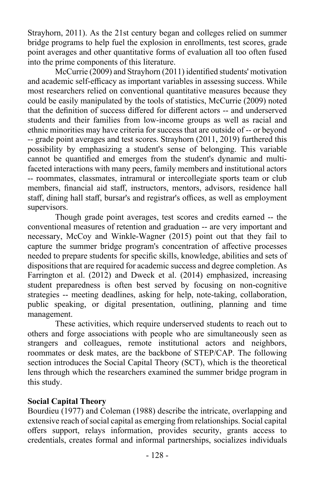Strayhorn, 2011). As the 21st century began and colleges relied on summer bridge programs to help fuel the explosion in enrollments, test scores, grade point averages and other quantitative forms of evaluation all too often fused into the prime components of this literature.

McCurrie (2009) and Strayhorn (2011) identified students' motivation and academic self-efficacy as important variables in assessing success. While most researchers relied on conventional quantitative measures because they could be easily manipulated by the tools of statistics, McCurrie (2009) noted that the definition of success differed for different actors -- and underserved students and their families from low-income groups as well as racial and ethnic minorities may have criteria for success that are outside of -- or beyond -- grade point averages and test scores. Strayhorn (2011, 2019) furthered this possibility by emphasizing a student's sense of belonging. This variable cannot be quantified and emerges from the student's dynamic and multifaceted interactions with many peers, family members and institutional actors -- roommates, classmates, intramural or intercollegiate sports team or club members, financial aid staff, instructors, mentors, advisors, residence hall staff, dining hall staff, bursar's and registrar's offices, as well as employment supervisors.

Though grade point averages, test scores and credits earned -- the conventional measures of retention and graduation -- are very important and necessary, McCoy and Winkle-Wagner (2015) point out that they fail to capture the summer bridge program's concentration of affective processes needed to prepare students for specific skills, knowledge, abilities and sets of dispositions that are required for academic success and degree completion. As Farrington et al. (2012) and Dweck et al. (2014) emphasized, increasing student preparedness is often best served by focusing on non-cognitive strategies -- meeting deadlines, asking for help, note-taking, collaboration, public speaking, or digital presentation, outlining, planning and time management.

These activities, which require underserved students to reach out to others and forge associations with people who are simultaneously seen as strangers and colleagues, remote institutional actors and neighbors, roommates or desk mates, are the backbone of STEP/CAP. The following section introduces the Social Capital Theory (SCT), which is the theoretical lens through which the researchers examined the summer bridge program in this study.

### **Social Capital Theory**

Bourdieu (1977) and Coleman (1988) describe the intricate, overlapping and extensive reach of social capital as emerging from relationships. Social capital offers support, relays information, provides security, grants access to credentials, creates formal and informal partnerships, socializes individuals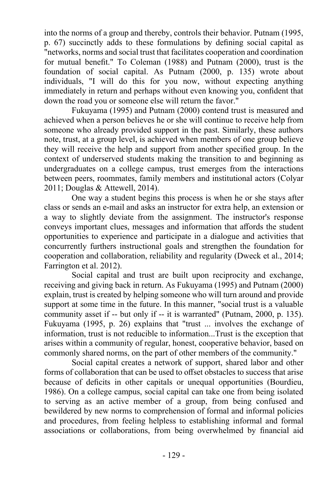into the norms of a group and thereby, controls their behavior. Putnam (1995, p. 67) succinctly adds to these formulations by defining social capital as "networks, norms and social trust that facilitates cooperation and coordination for mutual benefit." To Coleman (1988) and Putnam (2000), trust is the foundation of social capital. As Putnam (2000, p. 135) wrote about individuals, "I will do this for you now, without expecting anything immediately in return and perhaps without even knowing you, confident that down the road you or someone else will return the favor."

Fukuyama (1995) and Putnam (2000) contend trust is measured and achieved when a person believes he or she will continue to receive help from someone who already provided support in the past. Similarly, these authors note, trust, at a group level, is achieved when members of one group believe they will receive the help and support from another specified group. In the context of underserved students making the transition to and beginning as undergraduates on a college campus, trust emerges from the interactions between peers, roommates, family members and institutional actors (Colyar 2011; Douglas & Attewell, 2014).

One way a student begins this process is when he or she stays after class or sends an e-mail and asks an instructor for extra help, an extension or a way to slightly deviate from the assignment. The instructor's response conveys important clues, messages and information that affords the student opportunities to experience and participate in a dialogue and activities that concurrently furthers instructional goals and strengthen the foundation for cooperation and collaboration, reliability and regularity (Dweck et al., 2014; Farrington et al. 2012).

Social capital and trust are built upon reciprocity and exchange, receiving and giving back in return. As Fukuyama (1995) and Putnam (2000) explain, trust is created by helping someone who will turn around and provide support at some time in the future. In this manner, "social trust is a valuable community asset if -- but only if -- it is warranted" (Putnam, 2000, p. 135). Fukuyama (1995, p. 26) explains that "trust ... involves the exchange of information, trust is not reducible to information...Trust is the exception that arises within a community of regular, honest, cooperative behavior, based on commonly shared norms, on the part of other members of the community."

Social capital creates a network of support, shared labor and other forms of collaboration that can be used to offset obstacles to success that arise because of deficits in other capitals or unequal opportunities (Bourdieu, 1986). On a college campus, social capital can take one from being isolated to serving as an active member of a group, from being confused and bewildered by new norms to comprehension of formal and informal policies and procedures, from feeling helpless to establishing informal and formal associations or collaborations, from being overwhelmed by financial aid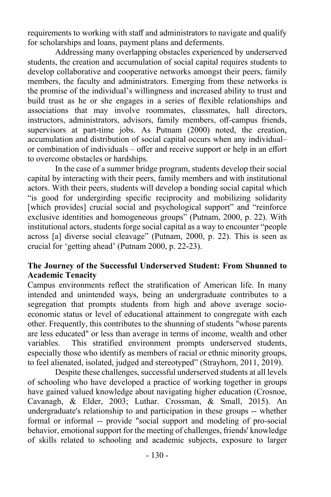requirements to working with staff and administrators to navigate and qualify for scholarships and loans, payment plans and deferments.

Addressing many overlapping obstacles experienced by underserved students, the creation and accumulation of social capital requires students to develop collaborative and cooperative networks amongst their peers, family members, the faculty and administrators. Emerging from these networks is the promise of the individual's willingness and increased ability to trust and build trust as he or she engages in a series of flexible relationships and associations that may involve roommates, classmates, hall directors, instructors, administrators, advisors, family members, off-campus friends, supervisors at part-time jobs. As Putnam (2000) noted, the creation, accumulation and distribution of social capital occurs when any individual– or combination of individuals – offer and receive support or help in an effort to overcome obstacles or hardships.

In the case of a summer bridge program, students develop their social capital by interacting with their peers, family members and with institutional actors. With their peers, students will develop a bonding social capital which "is good for undergirding specific reciprocity and mobilizing solidarity [which provides] crucial social and psychological support" and "reinforce" exclusive identities and homogeneous groups" (Putnam, 2000, p. 22). With institutional actors, students forge social capital as a way to encounter "people across [a] diverse social cleavage" (Putnam, 2000, p. 22). This is seen as crucial for 'getting ahead' (Putnam 2000, p. 22-23).

### **The Journey of the Successful Underserved Student: From Shunned to Academic Tenacity**

Campus environments reflect the stratification of American life. In many intended and unintended ways, being an undergraduate contributes to a segregation that prompts students from high and above average socioeconomic status or level of educational attainment to congregate with each other. Frequently, this contributes to the shunning of students "whose parents are less educated" or less than average in terms of income, wealth and other variables. This stratified environment prompts underserved students, especially those who identify as members of racial or ethnic minority groups, to feel alienated, isolated, judged and stereotyped" (Strayhorn, 2011, 2019).

Despite these challenges, successful underserved students at all levels of schooling who have developed a practice of working together in groups have gained valued knowledge about navigating higher education (Crosnoe, Cavanagh, & Elder, 2003; Luthar. Crossman, & Small, 2015). An undergraduate's relationship to and participation in these groups -- whether formal or informal -- provide "social support and modeling of pro-social behavior, emotional support for the meeting of challenges, friends' knowledge of skills related to schooling and academic subjects, exposure to larger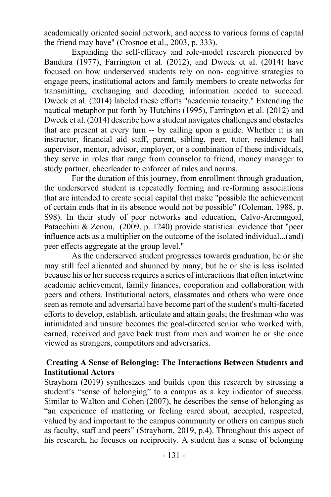academically oriented social network, and access to various forms of capital the friend may have" (Crosnoe et al., 2003, p. 333).

Expanding the self-efficacy and role-model research pioneered by Bandura (1977), Farrington et al. (2012), and Dweck et al. (2014) have focused on how underserved students rely on non- cognitive strategies to engage peers, institutional actors and family members to create networks for transmitting, exchanging and decoding information needed to succeed. Dweck et al. (2014) labeled these efforts "academic tenacity." Extending the nautical metaphor put forth by Hutchins (1995), Farrington et al. (2012) and Dweck et al. (2014) describe how a student navigates challenges and obstacles that are present at every turn -- by calling upon a guide. Whether it is an instructor, financial aid staff, parent, sibling, peer, tutor, residence hall supervisor, mentor, advisor, employer, or a combination of these individuals, they serve in roles that range from counselor to friend, money manager to study partner, cheerleader to enforcer of rules and norms.

For the duration of this journey, from enrollment through graduation, the underserved student is repeatedly forming and re-forming associations that are intended to create social capital that make "possible the achievement of certain ends that in its absence would not be possible" (Coleman, 1988, p. S98). In their study of peer networks and education, Calvo-Aremngoal, Patacchini & Zenou, (2009, p. 1240) provide statistical evidence that "peer influence acts as a multiplier on the outcome of the isolated individual...(and) peer effects aggregate at the group level."

As the underserved student progresses towards graduation, he or she may still feel alienated and shunned by many, but he or she is less isolated because his or her success requires a series of interactions that often intertwine academic achievement, family finances, cooperation and collaboration with peers and others. Institutional actors, classmates and others who were once seen as remote and adversarial have become part of the student's multi-faceted efforts to develop, establish, articulate and attain goals; the freshman who was intimidated and unsure becomes the goal-directed senior who worked with, earned, received and gave back trust from men and women he or she once viewed as strangers, competitors and adversaries.

# **Creating A Sense of Belonging: The Interactions Between Students and Institutional Actors**

Strayhorn (2019) synthesizes and builds upon this research by stressing a student's "sense of belonging" to a campus as a key indicator of success. Similar to Walton and Cohen (2007), he describes the sense of belonging as "an experience of mattering or feeling cared about, accepted, respected, valued by and important to the campus community or others on campus such as faculty, staff and peers" (Strayhorn, 2019, p.4). Throughout this aspect of his research, he focuses on reciprocity. A student has a sense of belonging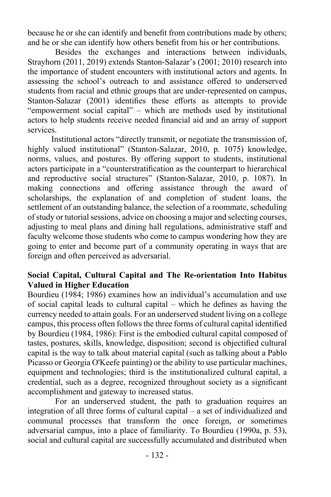because he or she can identify and benefit from contributions made by others; and he or she can identify how others benefit from his or her contributions.

Besides the exchanges and interactions between individuals, Strayhorn (2011, 2019) extends Stanton-Salazar's (2001; 2010) research into the importance of student encounters with institutional actors and agents. In assessing the school's outreach to and assistance offered to underserved students from racial and ethnic groups that are under-represented on campus, Stanton-Salazar (2001) identifies these efforts as attempts to provide "empowerment social capital" – which are methods used by institutional actors to help students receive needed financial aid and an array of support services.

Institutional actors "directly transmit, or negotiate the transmission of, highly valued institutional" (Stanton-Salazar, 2010, p. 1075) knowledge, norms, values, and postures. By offering support to students, institutional actors participate in a "counterstratification as the counterpart to hierarchical and reproductive social structures" (Stanton-Salazar, 2010, p. 1087). In making connections and offering assistance through the award of scholarships, the explanation of and completion of student loans, the settlement of an outstanding balance, the selection of a roommate, scheduling of study or tutorial sessions, advice on choosing a major and selecting courses, adjusting to meal plans and dining hall regulations, administrative staff and faculty welcome those students who come to campus wondering how they are going to enter and become part of a community operating in ways that are foreign and often perceived as adversarial.

# **Social Capital, Cultural Capital and The Re-orientation Into Habitus Valued in Higher Education**

Bourdieu (1984; 1986) examines how an individual's accumulation and use of social capital leads to cultural capital – which he defines as having the currency needed to attain goals. For an underserved student living on a college campus, this process often follows the three forms of cultural capital identified by Bourdieu (1984, 1986): First is the embodied cultural capital composed of tastes, postures, skills, knowledge, disposition; second is objectified cultural capital is the way to talk about material capital (such as talking about a Pablo Picasso or Georgia O'Keefe painting) or the ability to use particular machines, equipment and technologies; third is the institutionalized cultural capital, a credential, such as a degree, recognized throughout society as a significant accomplishment and gateway to increased status.

For an underserved student, the path to graduation requires an integration of all three forms of cultural capital – a set of individualized and communal processes that transform the once foreign, or sometimes adversarial campus, into a place of familiarity. To Bourdieu (1990a, p. 53), social and cultural capital are successfully accumulated and distributed when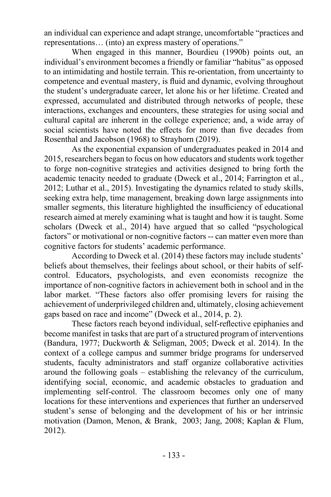an individual can experience and adapt strange, uncomfortable "practices and representations… (into) an express mastery of operations."

When engaged in this manner, Bourdieu (1990b) points out, an individual's environment becomes a friendly or familiar "habitus" as opposed to an intimidating and hostile terrain. This re-orientation, from uncertainty to competence and eventual mastery, is fluid and dynamic, evolving throughout the student's undergraduate career, let alone his or her lifetime. Created and expressed, accumulated and distributed through networks of people, these interactions, exchanges and encounters, these strategies for using social and cultural capital are inherent in the college experience; and, a wide array of social scientists have noted the effects for more than five decades from Rosenthal and Jacobson (1968) to Strayhorn (2019).

As the exponential expansion of undergraduates peaked in 2014 and 2015, researchers began to focus on how educators and students work together to forge non-cognitive strategies and activities designed to bring forth the academic tenacity needed to graduate (Dweck et al., 2014; Farrington et al., 2012; Luthar et al., 2015). Investigating the dynamics related to study skills, seeking extra help, time management, breaking down large assignments into smaller segments, this literature highlighted the insufficiency of educational research aimed at merely examining what is taught and how it is taught. Some scholars (Dweck et al., 2014) have argued that so called "psychological factors" or motivational or non-cognitive factors -- can matter even more than cognitive factors for students' academic performance.

According to Dweck et al. (2014) these factors may include students' beliefs about themselves, their feelings about school, or their habits of selfcontrol. Educators, psychologists, and even economists recognize the importance of non-cognitive factors in achievement both in school and in the labor market. "These factors also offer promising levers for raising the achievement of underprivileged children and, ultimately, closing achievement gaps based on race and income" (Dweck et al., 2014, p. 2).

These factors reach beyond individual, self-reflective epiphanies and become manifest in tasks that are part of a structured program of interventions (Bandura, 1977; Duckworth & Seligman, 2005; Dweck et al. 2014). In the context of a college campus and summer bridge programs for underserved students, faculty administrators and staff organize collaborative activities around the following goals – establishing the relevancy of the curriculum, identifying social, economic, and academic obstacles to graduation and implementing self-control. The classroom becomes only one of many locations for these interventions and experiences that further an underserved student's sense of belonging and the development of his or her intrinsic motivation (Damon, Menon, & Brank, 2003; Jang, 2008; Kaplan & Flum, 2012).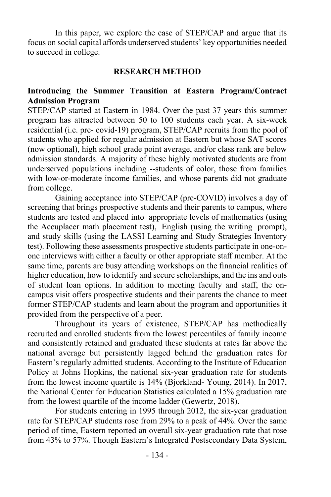In this paper, we explore the case of STEP/CAP and argue that its focus on social capital affords underserved students' key opportunities needed to succeed in college.

#### **RESEARCH METHOD**

### **Introducing the Summer Transition at Eastern Program/Contract Admission Program**

STEP/CAP started at Eastern in 1984. Over the past 37 years this summer program has attracted between 50 to 100 students each year. A six-week residential (i.e. pre- covid-19) program, STEP/CAP recruits from the pool of students who applied for regular admission at Eastern but whose SAT scores (now optional), high school grade point average, and/or class rank are below admission standards. A majority of these highly motivated students are from underserved populations including --students of color, those from families with low-or-moderate income families, and whose parents did not graduate from college.

Gaining acceptance into STEP/CAP (pre-COVID) involves a day of screening that brings prospective students and their parents to campus, where students are tested and placed into appropriate levels of mathematics (using the Accuplacer math placement test), English (using the writing prompt), and study skills (using the LASSI Learning and Study Strategies Inventory test). Following these assessments prospective students participate in one-onone interviews with either a faculty or other appropriate staff member. At the same time, parents are busy attending workshops on the financial realities of higher education, how to identify and secure scholarships, and the ins and outs of student loan options. In addition to meeting faculty and staff, the oncampus visit offers prospective students and their parents the chance to meet former STEP/CAP students and learn about the program and opportunities it provided from the perspective of a peer.

Throughout its years of existence, STEP/CAP has methodically recruited and enrolled students from the lowest percentiles of family income and consistently retained and graduated these students at rates far above the national average but persistently lagged behind the graduation rates for Eastern's regularly admitted students. According to the Institute of Education Policy at Johns Hopkins, the national six-year graduation rate for students from the lowest income quartile is 14% (Bjorkland- Young, 2014). In 2017, the National Center for Education Statistics calculated a 15% graduation rate from the lowest quartile of the income ladder (Gewertz, 2018).

For students entering in 1995 through 2012, the six-year graduation rate for STEP/CAP students rose from 29% to a peak of 44%. Over the same period of time, Eastern reported an overall six-year graduation rate that rose from 43% to 57%. Though Eastern's Integrated Postsecondary Data System,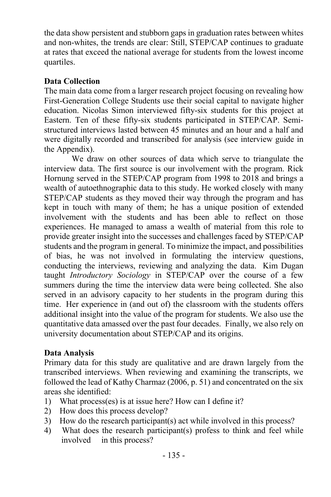the data show persistent and stubborn gaps in graduation rates between whites and non-whites, the trends are clear: Still, STEP/CAP continues to graduate at rates that exceed the national average for students from the lowest income quartiles.

# **Data Collection**

The main data come from a larger research project focusing on revealing how First-Generation College Students use their social capital to navigate higher education. Nicolas Simon interviewed fifty-six students for this project at Eastern. Ten of these fifty-six students participated in STEP/CAP. Semistructured interviews lasted between 45 minutes and an hour and a half and were digitally recorded and transcribed for analysis (see interview guide in the Appendix).

We draw on other sources of data which serve to triangulate the interview data. The first source is our involvement with the program. Rick Hornung served in the STEP/CAP program from 1998 to 2018 and brings a wealth of autoethnographic data to this study. He worked closely with many STEP/CAP students as they moved their way through the program and has kept in touch with many of them; he has a unique position of extended involvement with the students and has been able to reflect on those experiences. He managed to amass a wealth of material from this role to provide greater insight into the successes and challenges faced by STEP/CAP students and the program in general. To minimize the impact, and possibilities of bias, he was not involved in formulating the interview questions, conducting the interviews, reviewing and analyzing the data. Kim Dugan taught *Introductory Sociology* in STEP/CAP over the course of a few summers during the time the interview data were being collected. She also served in an advisory capacity to her students in the program during this time. Her experience in (and out of) the classroom with the students offers additional insight into the value of the program for students. We also use the quantitative data amassed over the past four decades. Finally, we also rely on university documentation about STEP/CAP and its origins.

# **Data Analysis**

Primary data for this study are qualitative and are drawn largely from the transcribed interviews. When reviewing and examining the transcripts, we followed the lead of Kathy Charmaz (2006, p. 51) and concentrated on the six areas she identified:

- 1) What process(es) is at issue here? How can I define it?
- 2) How does this process develop?
- 3) How do the research participant(s) act while involved in this process?
- 4) What does the research participant(s) profess to think and feel while involved in this process?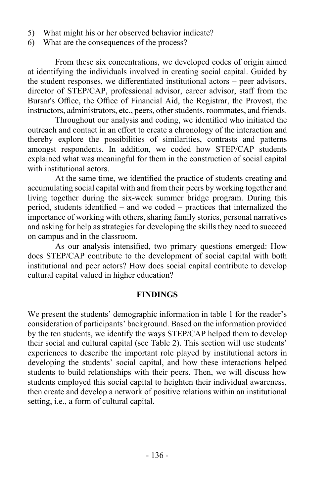- 5) What might his or her observed behavior indicate?
- 6) What are the consequences of the process?

From these six concentrations, we developed codes of origin aimed at identifying the individuals involved in creating social capital. Guided by the student responses, we differentiated institutional actors – peer advisors, director of STEP/CAP, professional advisor, career advisor, staff from the Bursar's Office, the Office of Financial Aid, the Registrar, the Provost, the instructors, administrators, etc., peers, other students, roommates, and friends.

Throughout our analysis and coding, we identified who initiated the outreach and contact in an effort to create a chronology of the interaction and thereby explore the possibilities of similarities, contrasts and patterns amongst respondents. In addition, we coded how STEP/CAP students explained what was meaningful for them in the construction of social capital with institutional actors.

At the same time, we identified the practice of students creating and accumulating social capital with and from their peers by working together and living together during the six-week summer bridge program. During this period, students identified – and we coded – practices that internalized the importance of working with others, sharing family stories, personal narratives and asking for help as strategies for developing the skills they need to succeed on campus and in the classroom.

As our analysis intensified, two primary questions emerged: How does STEP/CAP contribute to the development of social capital with both institutional and peer actors? How does social capital contribute to develop cultural capital valued in higher education?

### **FINDINGS**

We present the students' demographic information in table 1 for the reader's consideration of participants' background. Based on the information provided by the ten students, we identify the ways STEP/CAP helped them to develop their social and cultural capital (see Table 2). This section will use students' experiences to describe the important role played by institutional actors in developing the students' social capital, and how these interactions helped students to build relationships with their peers. Then, we will discuss how students employed this social capital to heighten their individual awareness, then create and develop a network of positive relations within an institutional setting, i.e., a form of cultural capital.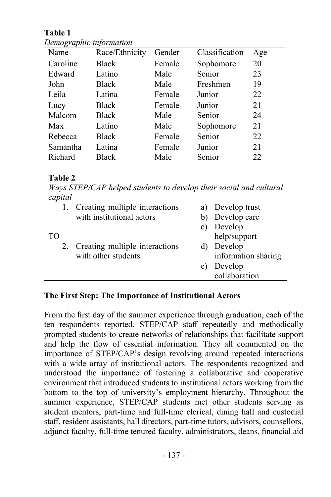**Table 1**

| Name     | Race/Ethnicity | Gender | Classification | Age |
|----------|----------------|--------|----------------|-----|
| Caroline | <b>Black</b>   | Female | Sophomore      | 20  |
| Edward   | Latino         | Male   | Senior         | 23  |
| John     | Black          | Male   | Freshmen       | 19  |
| Leila    | Latina         | Female | Junior         | 22  |
| Lucy     | <b>Black</b>   | Female | Junior         | 21  |
| Malcom   | Black          | Male   | Senior         | 24  |
| Max      | Latino         | Male   | Sophomore      | 21  |
| Rebecca  | <b>Black</b>   | Female | Senior<br>22   |     |
| Samantha | Latina         | Female | Junior         | 21  |
| Richard  | <b>Black</b>   | Male   | Senior         | 22  |

*Demographic information*

# **Table 2**

*Ways STEP/CAP helped students to develop their social and cultural capital* 

|    | 1. Creating multiple interactions |    | a) Develop trust    |
|----|-----------------------------------|----|---------------------|
|    | with institutional actors         |    | b) Develop care     |
|    |                                   |    | c) Develop          |
| TO |                                   |    | help/support        |
|    | 2. Creating multiple interactions |    | d) Develop          |
|    | with other students               |    | information sharing |
|    |                                   | e) | Develop             |
|    |                                   |    | collaboration       |
|    |                                   |    |                     |

# **The First Step: The Importance of Institutional Actors**

From the first day of the summer experience through graduation, each of the ten respondents reported, STEP/CAP staff repeatedly and methodically prompted students to create networks of relationships that facilitate support and help the flow of essential information. They all commented on the importance of STEP/CAP's design revolving around repeated interactions with a wide array of institutional actors. The respondents recognized and understood the importance of fostering a collaborative and cooperative environment that introduced students to institutional actors working from the bottom to the top of university's employment hierarchy. Throughout the summer experience, STEP/CAP students met other students serving as student mentors, part-time and full-time clerical, dining hall and custodial staff, resident assistants, hall directors, part-time tutors, advisors, counsellors, adjunct faculty, full-time tenured faculty, administrators, deans, financial aid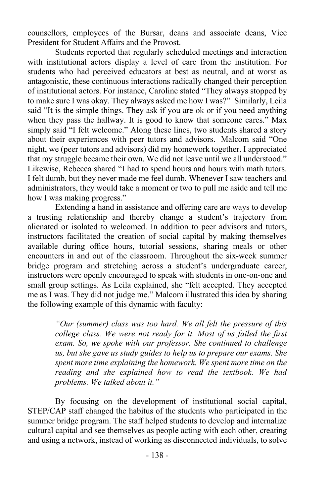counsellors, employees of the Bursar, deans and associate deans, Vice President for Student Affairs and the Provost.

Students reported that regularly scheduled meetings and interaction with institutional actors display a level of care from the institution. For students who had perceived educators at best as neutral, and at worst as antagonistic, these continuous interactions radically changed their perception of institutional actors. For instance, Caroline stated "They always stopped by to make sure I was okay. They always asked me how I was?" Similarly, Leila said "It is the simple things. They ask if you are ok or if you need anything when they pass the hallway. It is good to know that someone cares." Max simply said "I felt welcome." Along these lines, two students shared a story about their experiences with peer tutors and advisors. Malcom said "One night, we (peer tutors and advisors) did my homework together. I appreciated that my struggle became their own. We did not leave until we all understood." Likewise, Rebecca shared "I had to spend hours and hours with math tutors. I felt dumb, but they never made me feel dumb. Whenever I saw teachers and administrators, they would take a moment or two to pull me aside and tell me how I was making progress."

Extending a hand in assistance and offering care are ways to develop a trusting relationship and thereby change a student's trajectory from alienated or isolated to welcomed. In addition to peer advisors and tutors, instructors facilitated the creation of social capital by making themselves available during office hours, tutorial sessions, sharing meals or other encounters in and out of the classroom. Throughout the six-week summer bridge program and stretching across a student's undergraduate career, instructors were openly encouraged to speak with students in one-on-one and small group settings. As Leila explained, she "felt accepted. They accepted me as I was. They did not judge me." Malcom illustrated this idea by sharing the following example of this dynamic with faculty:

> *"Our (summer) class was too hard. We all felt the pressure of this college class. We were not ready for it. Most of us failed the first exam. So, we spoke with our professor. She continued to challenge us, but she gave us study guides to help us to prepare our exams. She spent more time explaining the homework. We spent more time on the reading and she explained how to read the textbook. We had problems. We talked about it."*

By focusing on the development of institutional social capital, STEP/CAP staff changed the habitus of the students who participated in the summer bridge program. The staff helped students to develop and internalize cultural capital and see themselves as people acting with each other, creating and using a network, instead of working as disconnected individuals, to solve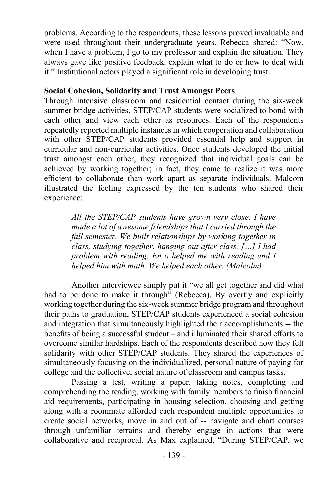problems. According to the respondents, these lessons proved invaluable and were used throughout their undergraduate years. Rebecca shared: "Now, when I have a problem, I go to my professor and explain the situation. They always gave like positive feedback, explain what to do or how to deal with it." Institutional actors played a significant role in developing trust.

### **Social Cohesion, Solidarity and Trust Amongst Peers**

Through intensive classroom and residential contact during the six-week summer bridge activities, STEP/CAP students were socialized to bond with each other and view each other as resources. Each of the respondents repeatedly reported multiple instances in which cooperation and collaboration with other STEP/CAP students provided essential help and support in curricular and non-curricular activities. Once students developed the initial trust amongst each other, they recognized that individual goals can be achieved by working together; in fact, they came to realize it was more efficient to collaborate than work apart as separate individuals. Malcom illustrated the feeling expressed by the ten students who shared their experience:

> *All the STEP/CAP students have grown very close. I have made a lot of awesome friendships that I carried through the fall semester. We built relationships by working together in class, studying together, hanging out after class. […] I had problem with reading. Enzo helped me with reading and I helped him with math. We helped each other. (Malcolm)*

Another interviewee simply put it "we all get together and did what had to be done to make it through" (Rebecca). By overtly and explicitly working together during the six-week summer bridge program and throughout their paths to graduation, STEP/CAP students experienced a social cohesion and integration that simultaneously highlighted their accomplishments -- the benefits of being a successful student – and illuminated their shared efforts to overcome similar hardships. Each of the respondents described how they felt solidarity with other STEP/CAP students. They shared the experiences of simultaneously focusing on the individualized, personal nature of paying for college and the collective, social nature of classroom and campus tasks.

Passing a test, writing a paper, taking notes, completing and comprehending the reading, working with family members to finish financial aid requirements, participating in housing selection, choosing and getting along with a roommate afforded each respondent multiple opportunities to create social networks, move in and out of -- navigate and chart courses through unfamiliar terrains and thereby engage in actions that were collaborative and reciprocal. As Max explained, "During STEP/CAP, we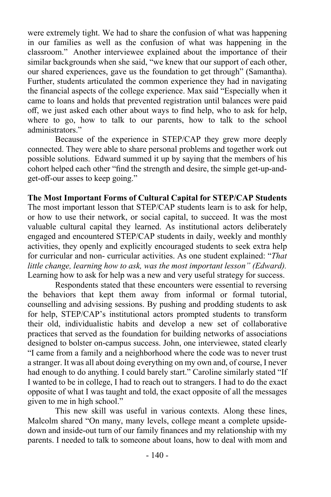were extremely tight. We had to share the confusion of what was happening in our families as well as the confusion of what was happening in the classroom." Another interviewee explained about the importance of their similar backgrounds when she said, "we knew that our support of each other, our shared experiences, gave us the foundation to get through" (Samantha). Further, students articulated the common experience they had in navigating the financial aspects of the college experience. Max said "Especially when it came to loans and holds that prevented registration until balances were paid off, we just asked each other about ways to find help, who to ask for help, where to go, how to talk to our parents, how to talk to the school administrators."

Because of the experience in STEP/CAP they grew more deeply connected. They were able to share personal problems and together work out possible solutions. Edward summed it up by saying that the members of his cohort helped each other "find the strength and desire, the simple get-up-andget-off-our asses to keep going."

**The Most Important Forms of Cultural Capital for STEP/CAP Students** The most important lesson that STEP/CAP students learn is to ask for help, or how to use their network, or social capital, to succeed. It was the most valuable cultural capital they learned. As institutional actors deliberately engaged and encountered STEP/CAP students in daily, weekly and monthly activities, they openly and explicitly encouraged students to seek extra help for curricular and non- curricular activities. As one student explained: "*That little change, learning how to ask, was the most important lesson" (Edward).* Learning how to ask for help was a new and very useful strategy for success.

Respondents stated that these encounters were essential to reversing the behaviors that kept them away from informal or formal tutorial, counselling and advising sessions. By pushing and prodding students to ask for help, STEP/CAP's institutional actors prompted students to transform their old, individualistic habits and develop a new set of collaborative practices that served as the foundation for building networks of associations designed to bolster on-campus success. John, one interviewee, stated clearly "I came from a family and a neighborhood where the code was to never trust a stranger. It was all about doing everything on my own and, of course, I never had enough to do anything. I could barely start." Caroline similarly stated "If I wanted to be in college, I had to reach out to strangers. I had to do the exact opposite of what I was taught and told, the exact opposite of all the messages given to me in high school."

This new skill was useful in various contexts. Along these lines, Malcolm shared "On many, many levels, college meant a complete upsidedown and inside-out turn of our family finances and my relationship with my parents. I needed to talk to someone about loans, how to deal with mom and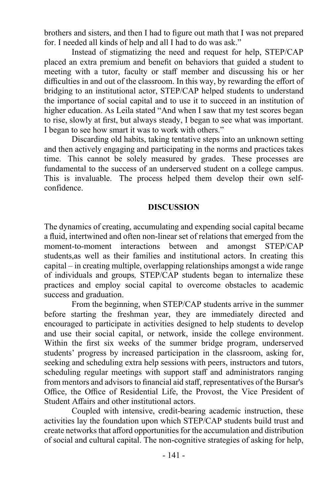brothers and sisters, and then I had to figure out math that I was not prepared for. I needed all kinds of help and all I had to do was ask."

Instead of stigmatizing the need and request for help, STEP/CAP placed an extra premium and benefit on behaviors that guided a student to meeting with a tutor, faculty or staff member and discussing his or her difficulties in and out of the classroom. In this way, by rewarding the effort of bridging to an institutional actor, STEP/CAP helped students to understand the importance of social capital and to use it to succeed in an institution of higher education. As Leila stated "And when I saw that my test scores began to rise, slowly at first, but always steady, I began to see what was important. I began to see how smart it was to work with others."

Discarding old habits, taking tentative steps into an unknown setting and then actively engaging and participating in the norms and practices takes time. This cannot be solely measured by grades. These processes are fundamental to the success of an underserved student on a college campus. This is invaluable. The process helped them develop their own selfconfidence.

### **DISCUSSION**

The dynamics of creating, accumulating and expending social capital became a fluid, intertwined and often non-linear set of relations that emerged from the moment-to-moment interactions between and amongst STEP/CAP students,as well as their families and institutional actors. In creating this capital – in creating multiple, overlapping relationships amongst a wide range of individuals and groups*,* STEP/CAP students began to internalize these practices and employ social capital to overcome obstacles to academic success and graduation.

From the beginning, when STEP/CAP students arrive in the summer before starting the freshman year, they are immediately directed and encouraged to participate in activities designed to help students to develop and use their social capital, or network, inside the college environment. Within the first six weeks of the summer bridge program, underserved students' progress by increased participation in the classroom, asking for, seeking and scheduling extra help sessions with peers, instructors and tutors, scheduling regular meetings with support staff and administrators ranging from mentors and advisors to financial aid staff, representatives of the Bursar's Office, the Office of Residential Life, the Provost, the Vice President of Student Affairs and other institutional actors.

Coupled with intensive, credit-bearing academic instruction, these activities lay the foundation upon which STEP/CAP students build trust and create networks that afford opportunities for the accumulation and distribution of social and cultural capital. The non-cognitive strategies of asking for help,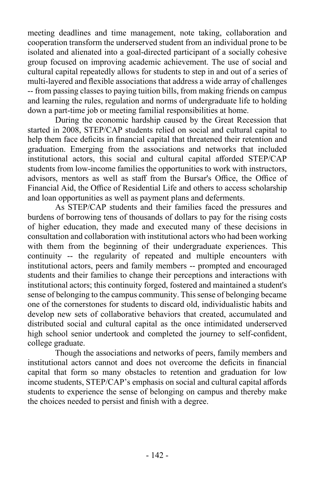meeting deadlines and time management, note taking, collaboration and cooperation transform the underserved student from an individual prone to be isolated and alienated into a goal-directed participant of a socially cohesive group focused on improving academic achievement. The use of social and cultural capital repeatedly allows for students to step in and out of a series of multi-layered and flexible associations that address a wide array of challenges -- from passing classes to paying tuition bills, from making friends on campus and learning the rules, regulation and norms of undergraduate life to holding down a part-time job or meeting familial responsibilities at home.

During the economic hardship caused by the Great Recession that started in 2008, STEP/CAP students relied on social and cultural capital to help them face deficits in financial capital that threatened their retention and graduation. Emerging from the associations and networks that included institutional actors, this social and cultural capital afforded STEP/CAP students from low-income families the opportunities to work with instructors, advisors, mentors as well as staff from the Bursar's Office, the Office of Financial Aid, the Office of Residential Life and others to access scholarship and loan opportunities as well as payment plans and deferments.

As STEP/CAP students and their families faced the pressures and burdens of borrowing tens of thousands of dollars to pay for the rising costs of higher education, they made and executed many of these decisions in consultation and collaboration with institutional actors who had been working with them from the beginning of their undergraduate experiences. This continuity -- the regularity of repeated and multiple encounters with institutional actors, peers and family members -- prompted and encouraged students and their families to change their perceptions and interactions with institutional actors; this continuity forged, fostered and maintained a student's sense of belonging to the campus community. This sense of belonging became one of the cornerstones for students to discard old, individualistic habits and develop new sets of collaborative behaviors that created, accumulated and distributed social and cultural capital as the once intimidated underserved high school senior undertook and completed the journey to self-confident, college graduate.

Though the associations and networks of peers, family members and institutional actors cannot and does not overcome the deficits in financial capital that form so many obstacles to retention and graduation for low income students, STEP/CAP's emphasis on social and cultural capital affords students to experience the sense of belonging on campus and thereby make the choices needed to persist and finish with a degree.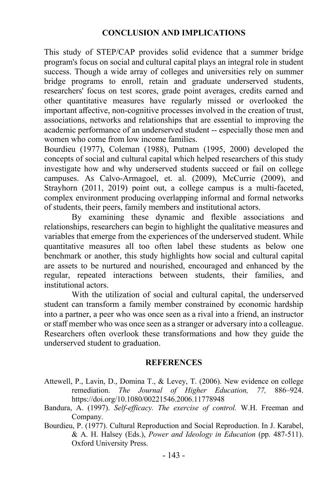### **CONCLUSION AND IMPLICATIONS**

This study of STEP/CAP provides solid evidence that a summer bridge program's focus on social and cultural capital plays an integral role in student success. Though a wide array of colleges and universities rely on summer bridge programs to enroll, retain and graduate underserved students, researchers' focus on test scores, grade point averages, credits earned and other quantitative measures have regularly missed or overlooked the important affective, non-cognitive processes involved in the creation of trust, associations, networks and relationships that are essential to improving the academic performance of an underserved student -- especially those men and women who come from low income families.

Bourdieu (1977), Coleman (1988), Putnam (1995, 2000) developed the concepts of social and cultural capital which helped researchers of this study investigate how and why underserved students succeed or fail on college campuses. As Calvo-Armagoel, et. al. (2009), McCurrie (2009), and Strayhorn (2011, 2019) point out, a college campus is a multi-faceted, complex environment producing overlapping informal and formal networks of students, their peers, family members and institutional actors.

By examining these dynamic and flexible associations and relationships, researchers can begin to highlight the qualitative measures and variables that emerge from the experiences of the underserved student. While quantitative measures all too often label these students as below one benchmark or another, this study highlights how social and cultural capital are assets to be nurtured and nourished, encouraged and enhanced by the regular, repeated interactions between students, their families, and institutional actors.

With the utilization of social and cultural capital, the underserved student can transform a family member constrained by economic hardship into a partner, a peer who was once seen as a rival into a friend, an instructor or staff member who was once seen as a stranger or adversary into a colleague. Researchers often overlook these transformations and how they guide the underserved student to graduation.

#### **REFERENCES**

- Attewell, P., Lavin, D., Domina T., & Levey, T. (2006). New evidence on college remediation. *The Journal of Higher Education, 77,* 886–924. https://doi.org/10.1080/00221546.2006.11778948
- Bandura, A. (1997). *Self-efficacy. The exercise of control.* W.H. Freeman and Company.
- Bourdieu, P. (1977). Cultural Reproduction and Social Reproduction. In J. Karabel, & A. H. Halsey (Eds.), *Power and Ideology in Education* (pp. 487-511). Oxford University Press.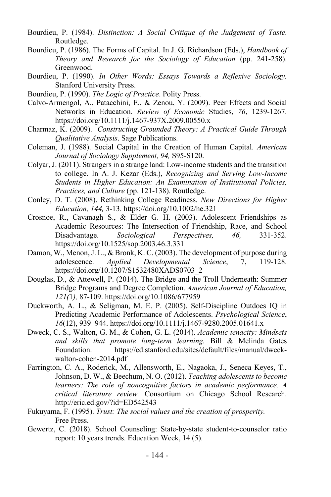- Bourdieu, P. (1984). *Distinction: A Social Critique of the Judgement of Taste*. Routledge.
- Bourdieu, P. (1986). The Forms of Capital. In J. G. Richardson (Eds.), *Handbook of Theory and Research for the Sociology of Education* (pp. 241-258). Greenwood.
- Bourdieu, P. (1990). *In Other Words: Essays Towards a Reflexive Sociology.* Stanford University Press.
- Bourdieu, P. (1990). *The Logic of Practice*. Polity Press.
- Calvo-Armengol, A., Patacchini, E., & Zenou, Y. (2009). Peer Effects and Social Networks in Education. *Review of Economic* Studies, *76*, 1239-1267. https://doi.org/10.1111/j.1467-937X.2009.00550.x
- Charmaz, K. (2009). *Constructing Grounded Theory: A Practical Guide Through Qualitative Analysis*. Sage Publications.
- Coleman, J. (1988). Social Capital in the Creation of Human Capital. *American Journal of Sociology Supplement, 94,* S95-S120.
- Colyar, J. (2011). Strangers in a strange land: Low-income students and the transition to college. In A. J. Kezar (Eds.), *Recognizing and Serving Low-Income Students in Higher Education: An Examination of Institutional Policies, Practices, and Culture* (pp. 121-138). Routledge.
- Conley, D. T. (2008). Rethinking College Readiness. *New Directions for Higher Education, 144,* 3-13. https://doi.org/10.1002/he.321
- Crosnoe, R., Cavanagh S., & Elder G. H. (2003). Adolescent Friendships as Academic Resources: The Intersection of Friendship, Race, and School Disadvantage. *Sociological Perspectives, 46,* 331-352. https://doi.org/10.1525/sop.2003.46.3.331
- Damon, W., Menon, J. L., & Bronk, K. C. (2003). The development of purpose during adolescence. *Applied Developmental Science*, 7, 119-128. https://doi.org/10.1207/S1532480XADS0703\_2
- Douglas, D., & Attewell, P. (2014). The Bridge and the Troll Underneath: Summer Bridge Programs and Degree Completion. *American Journal of Education, 121(*1*),* 87-109. https://doi.org/10.1086/677959
- Duckworth, A. L., & Seligman, M. E. P. (2005). Self-Discipline Outdoes IQ in Predicting Academic Performance of Adolescents. *Psychological Science*, *16*(12), 939–944. https://doi.org/10.1111/j.1467-9280.2005.01641.x
- Dweck, C. S., Walton, G. M., & Cohen, G. L. (2014). *Academic tenacity: Mindsets and skills that promote long-term learning.* Bill & Melinda Gates Foundation. https://ed.stanford.edu/sites/default/files/manual/dweckwalton-cohen-2014.pdf
- Farrington, C. A., Roderick, M., Allensworth, E., Nagaoka, J., Seneca Keyes, T., Johnson, D. W., & Beechum, N. O. (2012). *Teaching adolescents to become learners: The role of noncognitive factors in academic performance. A critical literature review.* Consortium on Chicago School Research. http://eric.ed.gov/?id=ED542543
- Fukuyama, F. (1995). *Trust: The social values and the creation of prosperity.* Free Press.
- Gewertz, C. (2018). School Counseling: State-by-state student-to-counselor ratio report: 10 years trends. Education Week, 14 (5).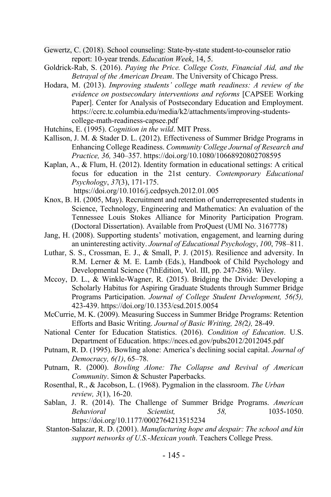- Gewertz, C. (2018). School counseling: State-by-state student-to-counselor ratio report: 10-year trends. *Education Week*, 14, 5.
- Goldrick-Rab, S. (2016). *Paying the Price. College Costs, Financial Aid, and the Betrayal of the American Dream*. The University of Chicago Press.
- Hodara, M. (2013). *Improving students' college math readiness: A review of the evidence on postsecondary interventions and reforms* [CAPSEE Working Paper]. Center for Analysis of Postsecondary Education and Employment. https://ccrc.tc.columbia.edu/media/k2/attachments/improving-studentscollege-math-readiness-capsee.pdf
- Hutchins, E. (1995). *Cognition in the wild*. MIT Press.
- Kallison, J. M. & Stader D. L. (2012). Effectiveness of Summer Bridge Programs in Enhancing College Readiness. *Community College Journal of Research and Practice, 36,* 340–357. https://doi.org/10.1080/10668920802708595
- Kaplan, A., & Flum, H. (2012). Identity formation in educational settings: A critical focus for education in the 21st century. *Contemporary Educational Psychology*, *37*(3), 171-175. https://doi.org/10.1016/j.cedpsych.2012.01.005
- Knox, B. H. (2005, May). Recruitment and retention of underrepresented students in Science, Technology, Engineering and Mathematics: An evaluation of the Tennessee Louis Stokes Alliance for Minority Participation Program. (Doctoral Dissertation). Available from ProQuest (UMI No. 3167778)
- Jang, H. (2008). Supporting students' motivation, engagement, and learning during an uninteresting activity. *Journal of Educational Psychology*, *100*, 798–811.
- Luthar, S. S., Crossman, E. J., & Small, P. J. (2015). Resilience and adversity. In R.M. Lerner & M. E. Lamb (Eds.), Handbook of Child Psychology and Developmental Science (7thEdition, Vol. III, pp. 247-286). Wiley.
- Mccoy, D. L., & Winkle-Wagner, R. (2015). Bridging the Divide: Developing a Scholarly Habitus for Aspiring Graduate Students through Summer Bridge Programs Participation. *Journal of College Student Development, 56(5),* 423-439. https://doi.org/10.1353/csd.2015.0054
- McCurrie, M. K. (2009). Measuring Success in Summer Bridge Programs: Retention Efforts and Basic Writing. *Journal of Basic Writing, 28(*2*),* 28-49.
- National Center for Education Statistics. (2016). *Condition of Education*. U.S. Department of Education. https://nces.ed.gov/pubs2012/2012045.pdf
- Putnam, R. D. (1995). Bowling alone: America's declining social capital. *Journal of Democracy, 6(1)*, 65–78.
- Putnam, R. (2000). *Bowling Alone: The Collapse and Revival of American Community*. Simon & Schuster Paperbacks.
- Rosenthal, R., & Jacobson, L. (1968). Pygmalion in the classroom. *The Urban review, 3*(1), 16-20.
- Sablan, J. R. (2014). The Challenge of Summer Bridge Programs. *American Behavioral Scientist, 58,* 1035-1050. https://doi.org/10.1177/0002764213515234
- Stanton-Salazar, R. D. (2001). *Manufacturing hope and despair: The school and kin support networks of U.S.-Mexican youth*. Teachers College Press.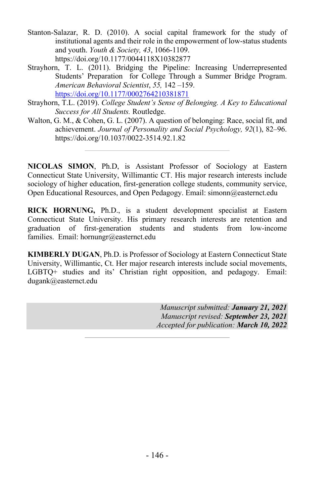- Stanton-Salazar, R. D. (2010). A social capital framework for the study of institutional agents and their role in the empowerment of low-status students and youth. *Youth & Society, 43*, 1066-1109. https://doi.org/10.1177/0044118X10382877
- Strayhorn, T. L. (2011). Bridging the Pipeline: Increasing Underrepresented Students' Preparation for College Through a Summer Bridge Program. *American Behavioral Scientist*, *55,* 142 –159. https://doi.org/10.1177/0002764210381871
- Strayhorn, T.L. (2019). *College Student's Sense of Belonging. A Key to Educational Success for All Students.* Routledge.
- Walton, G. M., & Cohen, G. L. (2007). A question of belonging: Race, social fit, and achievement. *Journal of Personality and Social Psychology, 92*(1), 82–96. https://doi.org/10.1037/0022-3514.92.1.82

**NICOLAS SIMON**, Ph.D, is Assistant Professor of Sociology at Eastern Connecticut State University, Willimantic CT. His major research interests include sociology of higher education, first-generation college students, community service, Open Educational Resources, and Open Pedagogy. Email: simonn@easternct.edu

**RICK HORNUNG,** Ph.D., is a student development specialist at Eastern Connecticut State University. His primary research interests are retention and graduation of first-generation students and students from low-income families. Email: hornungr@easternct.edu

**KIMBERLY DUGAN**, Ph.D. is Professor of Sociology at Eastern Connecticut State University, Willimantic, Ct. Her major research interests include social movements, LGBTQ+ studies and its' Christian right opposition, and pedagogy. Email: dugank@easternct.edu

> *Manuscript submitted: January 21, 2021 Manuscript revised: September 23, 2021 Accepted for publication: March 10, 2022*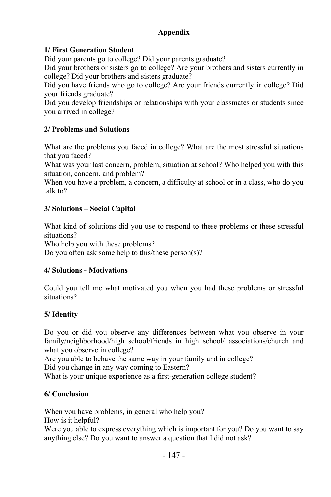# **Appendix**

# **1/ First Generation Student**

Did your parents go to college? Did your parents graduate?

Did your brothers or sisters go to college? Are your brothers and sisters currently in college? Did your brothers and sisters graduate?

Did you have friends who go to college? Are your friends currently in college? Did your friends graduate?

Did you develop friendships or relationships with your classmates or students since you arrived in college?

### **2/ Problems and Solutions**

What are the problems you faced in college? What are the most stressful situations that you faced?

What was your last concern, problem, situation at school? Who helped you with this situation, concern, and problem?

When you have a problem, a concern, a difficulty at school or in a class, who do you talk to?

### **3/ Solutions – Social Capital**

What kind of solutions did you use to respond to these problems or these stressful situations?

Who help you with these problems?

Do you often ask some help to this/these person(s)?

# **4/ Solutions - Motivations**

Could you tell me what motivated you when you had these problems or stressful situations?

# **5/ Identity**

Do you or did you observe any differences between what you observe in your family/neighborhood/high school/friends in high school/ associations/church and what you observe in college?

Are you able to behave the same way in your family and in college?

Did you change in any way coming to Eastern?

What is your unique experience as a first-generation college student?

# **6/ Conclusion**

When you have problems, in general who help you? How is it helpful?

Were you able to express everything which is important for you? Do you want to say anything else? Do you want to answer a question that I did not ask?